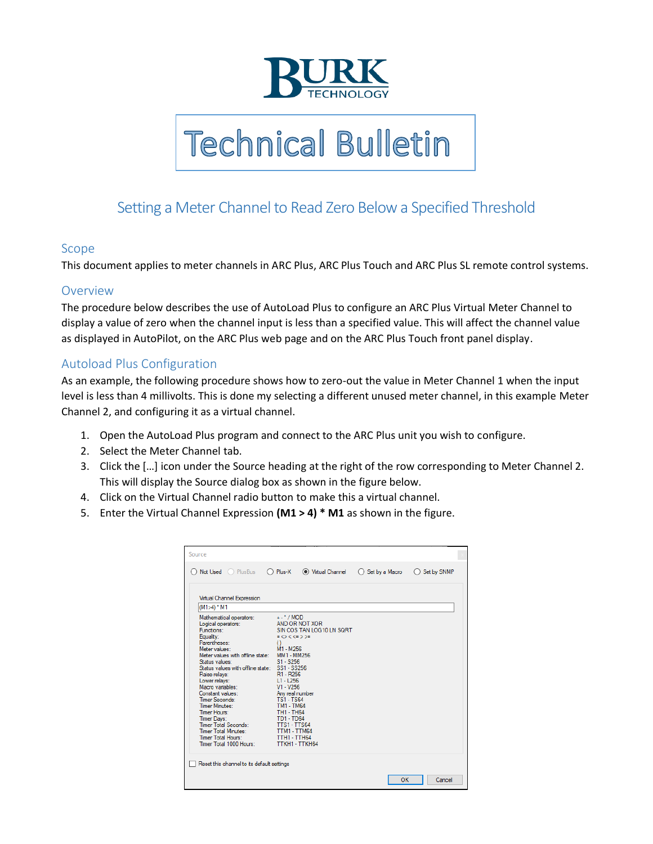

**Technical Bulletin** 

## Setting a Meter Channel to Read Zero Below a Specified Threshold

## Scope

This document applies to meter channels in ARC Plus, ARC Plus Touch and ARC Plus SL remote control systems.

## Overview

The procedure below describes the use of AutoLoad Plus to configure an ARC Plus Virtual Meter Channel to display a value of zero when the channel input is less than a specified value. This will affect the channel value as displayed in AutoPilot, on the ARC Plus web page and on the ARC Plus Touch front panel display.

## Autoload Plus Configuration

As an example, the following procedure shows how to zero-out the value in Meter Channel 1 when the input level is less than 4 millivolts. This is done my selecting a different unused meter channel, in this example Meter Channel 2, and configuring it as a virtual channel.

- 1. Open the AutoLoad Plus program and connect to the ARC Plus unit you wish to configure.
- 2. Select the Meter Channel tab.
- 3. Click the […] icon under the Source heading at the right of the row corresponding to Meter Channel 2. This will display the Source dialog box as shown in the figure below.
- 4. Click on the Virtual Channel radio button to make this a virtual channel.
- 5. Enter the Virtual Channel Expression **(M1 > 4) \* M1** as shown in the figure.

|                                                                                                                                                                                                                                                                                                                                                                                                                                                                       |                                                                                                                                                                                                                                                                                                                                                                | ◯ Set by SNMP |
|-----------------------------------------------------------------------------------------------------------------------------------------------------------------------------------------------------------------------------------------------------------------------------------------------------------------------------------------------------------------------------------------------------------------------------------------------------------------------|----------------------------------------------------------------------------------------------------------------------------------------------------------------------------------------------------------------------------------------------------------------------------------------------------------------------------------------------------------------|---------------|
| Virtual Channel Expression                                                                                                                                                                                                                                                                                                                                                                                                                                            |                                                                                                                                                                                                                                                                                                                                                                |               |
| $(M1>4)$ $M1$                                                                                                                                                                                                                                                                                                                                                                                                                                                         |                                                                                                                                                                                                                                                                                                                                                                |               |
| Mathematical operators:<br>Logical operators:<br>Functions:<br>Equality:<br>Parentheses:<br>Meter values:<br>Meter values with offline state:<br>Status values:<br>Status values with offline state: SS1 - SS256<br>Raise relays:<br>Lower relays:<br>Macro variables:<br>Constant values:<br>Timer Seconds:<br>Timer Minutes:<br>Timer Hours:<br>Timer Days:<br>Timer Total Seconds:<br><b>Timer Total Minutes:</b><br>Timer Total Hours:<br>Timer Total 1000 Hours: | $+$ - $^*$ /MOD<br>AND OR NOT XOR<br>SIN COS TAN LOG10 LN SQRT<br>$=$ <> < <= > >=<br>$\cup$<br>M1 - M256<br>MM1 - MM256<br>$S1 - S256$<br>R1 - R256<br>$L1 - L256$<br>$V1 - V256$<br>Any real number<br><b>TS1-TS64</b><br><b>TM1 - TM64</b><br><b>TH1 - TH64</b><br><b>TD1 - TD64</b><br><b>TTS1-TTS64</b><br>TTM1 - TTM64<br>TTH1 - TTH64<br>TTKH1 - TTKH64 |               |